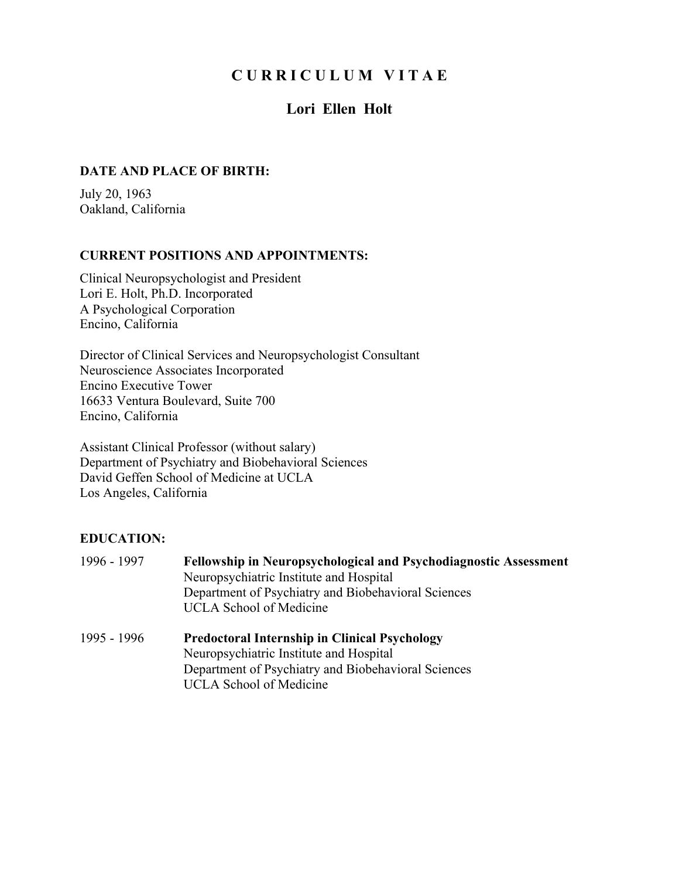# **C U R R I C U L U M V I T A E**

# **Lori Ellen Holt**

# **DATE AND PLACE OF BIRTH:**

July 20, 1963 Oakland, California

#### **CURRENT POSITIONS AND APPOINTMENTS:**

Clinical Neuropsychologist and President Lori E. Holt, Ph.D. Incorporated A Psychological Corporation Encino, California

Director of Clinical Services and Neuropsychologist Consultant Neuroscience Associates Incorporated Encino Executive Tower 16633 Ventura Boulevard, Suite 700 Encino, California

Assistant Clinical Professor (without salary) Department of Psychiatry and Biobehavioral Sciences David Geffen School of Medicine at UCLA Los Angeles, California

# **EDUCATION:**

| 1996 - 1997 | <b>Fellowship in Neuropsychological and Psychodiagnostic Assessment</b><br>Neuropsychiatric Institute and Hospital |
|-------------|--------------------------------------------------------------------------------------------------------------------|
|             | Department of Psychiatry and Biobehavioral Sciences                                                                |
|             | <b>UCLA</b> School of Medicine                                                                                     |
| 1995 - 1996 | <b>Predoctoral Internship in Clinical Psychology</b>                                                               |
|             | Neuropsychiatric Institute and Hospital                                                                            |
|             | Department of Psychiatry and Biobehavioral Sciences                                                                |
|             | <b>UCLA School of Medicine</b>                                                                                     |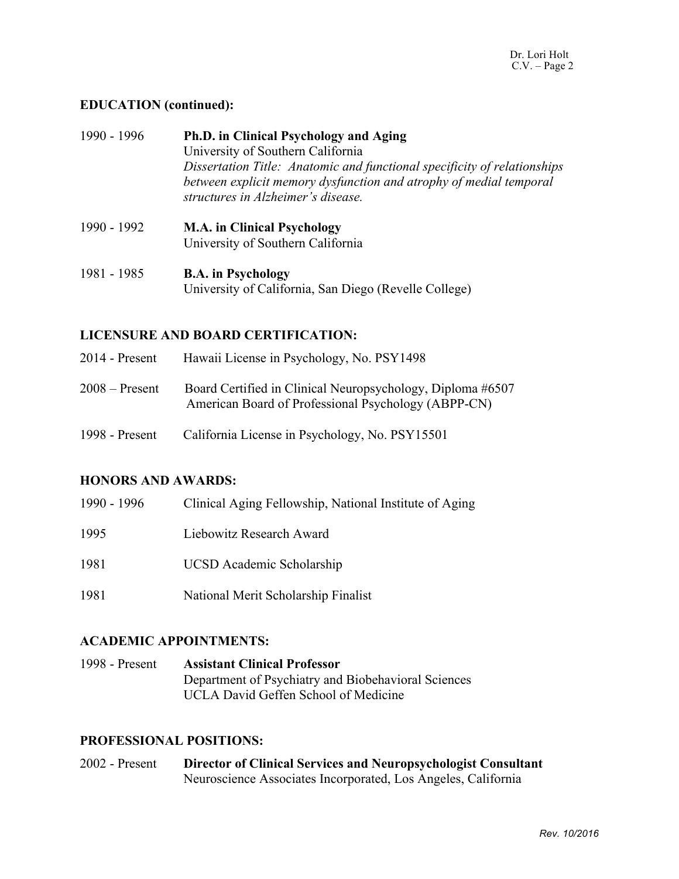# **EDUCATION (continued):**

| 1990 - 1996 | Ph.D. in Clinical Psychology and Aging                                                                   |
|-------------|----------------------------------------------------------------------------------------------------------|
|             | University of Southern California                                                                        |
|             | Dissertation Title: Anatomic and functional specificity of relationships                                 |
|             | between explicit memory dysfunction and atrophy of medial temporal<br>structures in Alzheimer's disease. |
|             |                                                                                                          |
| 1990 - 1992 | <b>M.A.</b> in Clinical Psychology                                                                       |
|             | University of Southern California                                                                        |
| 1981 - 1985 | <b>B.A.</b> in Psychology                                                                                |
|             | University of California, San Diego (Revelle College)                                                    |

#### **LICENSURE AND BOARD CERTIFICATION:**

| $2014$ - Present | Hawaii License in Psychology, No. PSY1498                                                                         |
|------------------|-------------------------------------------------------------------------------------------------------------------|
| $2008 -$ Present | Board Certified in Clinical Neuropsychology, Diploma #6507<br>American Board of Professional Psychology (ABPP-CN) |
| 1998 - Present   | California License in Psychology, No. PSY15501                                                                    |

#### **HONORS AND AWARDS:**

| 1990 - 1996 | Clinical Aging Fellowship, National Institute of Aging |
|-------------|--------------------------------------------------------|
| 1995        | Liebowitz Research Award                               |
| 1981        | <b>UCSD</b> Academic Scholarship                       |
| 1981        | National Merit Scholarship Finalist                    |

#### **ACADEMIC APPOINTMENTS:**

1998 - Present **Assistant Clinical Professor** Department of Psychiatry and Biobehavioral Sciences UCLA David Geffen School of Medicine

#### **PROFESSIONAL POSITIONS:**

2002 - Present **Director of Clinical Services and Neuropsychologist Consultant** Neuroscience Associates Incorporated, Los Angeles, California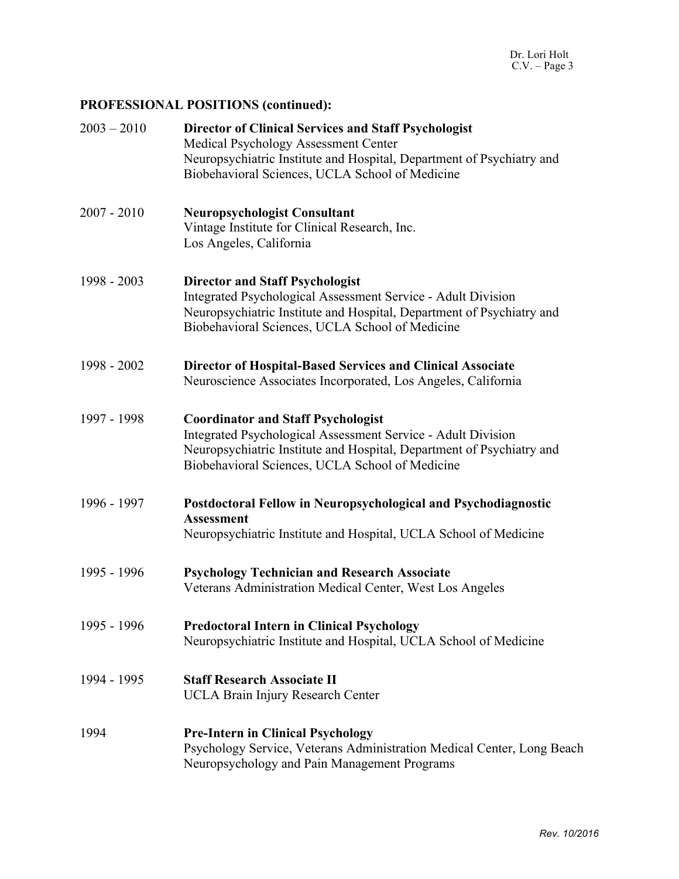# **PROFESSIONAL POSITIONS (continued):**

| $2003 - 2010$ | <b>Director of Clinical Services and Staff Psychologist</b><br>Medical Psychology Assessment Center<br>Neuropsychiatric Institute and Hospital, Department of Psychiatry and<br>Biobehavioral Sciences, UCLA School of Medicine       |
|---------------|---------------------------------------------------------------------------------------------------------------------------------------------------------------------------------------------------------------------------------------|
| $2007 - 2010$ | <b>Neuropsychologist Consultant</b><br>Vintage Institute for Clinical Research, Inc.<br>Los Angeles, California                                                                                                                       |
| 1998 - 2003   | <b>Director and Staff Psychologist</b><br>Integrated Psychological Assessment Service - Adult Division<br>Neuropsychiatric Institute and Hospital, Department of Psychiatry and<br>Biobehavioral Sciences, UCLA School of Medicine    |
| 1998 - 2002   | <b>Director of Hospital-Based Services and Clinical Associate</b><br>Neuroscience Associates Incorporated, Los Angeles, California                                                                                                    |
| 1997 - 1998   | <b>Coordinator and Staff Psychologist</b><br>Integrated Psychological Assessment Service - Adult Division<br>Neuropsychiatric Institute and Hospital, Department of Psychiatry and<br>Biobehavioral Sciences, UCLA School of Medicine |
| 1996 - 1997   | Postdoctoral Fellow in Neuropsychological and Psychodiagnostic<br><b>Assessment</b><br>Neuropsychiatric Institute and Hospital, UCLA School of Medicine                                                                               |
| 1995 - 1996   | <b>Psychology Technician and Research Associate</b><br>Veterans Administration Medical Center, West Los Angeles                                                                                                                       |
| 1995 - 1996   | <b>Predoctoral Intern in Clinical Psychology</b><br>Neuropsychiatric Institute and Hospital, UCLA School of Medicine                                                                                                                  |
| 1994 - 1995   | <b>Staff Research Associate II</b><br><b>UCLA Brain Injury Research Center</b>                                                                                                                                                        |
| 1994          | <b>Pre-Intern in Clinical Psychology</b><br>Psychology Service, Veterans Administration Medical Center, Long Beach<br>Neuropsychology and Pain Management Programs                                                                    |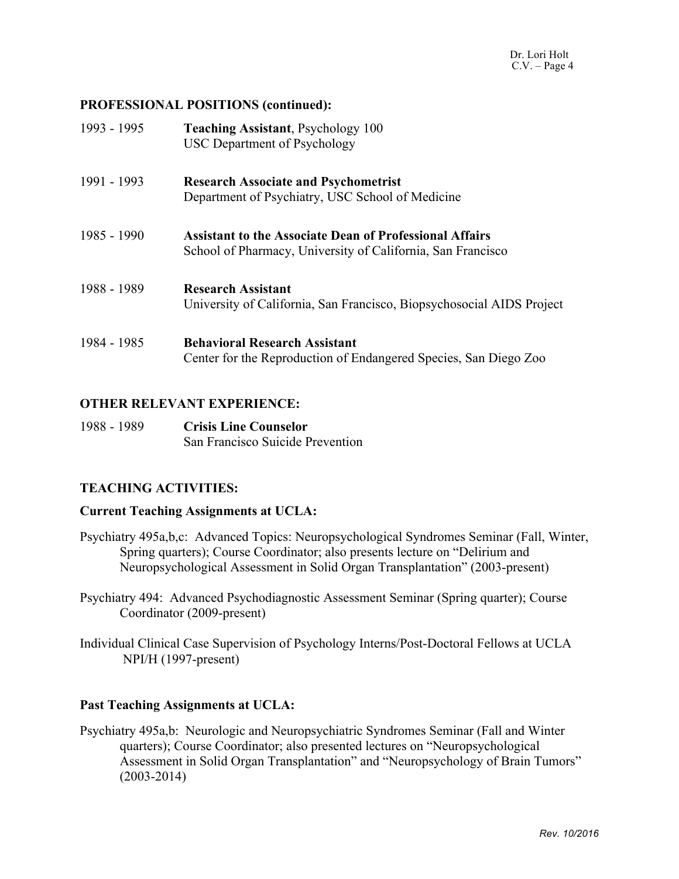# **PROFESSIONAL POSITIONS (continued):**

| 1993 - 1995 | <b>Teaching Assistant, Psychology 100</b><br><b>USC Department of Psychology</b>                                              |
|-------------|-------------------------------------------------------------------------------------------------------------------------------|
| 1991 - 1993 | <b>Research Associate and Psychometrist</b><br>Department of Psychiatry, USC School of Medicine                               |
| 1985 - 1990 | <b>Assistant to the Associate Dean of Professional Affairs</b><br>School of Pharmacy, University of California, San Francisco |
| 1988 - 1989 | <b>Research Assistant</b><br>University of California, San Francisco, Biopsychosocial AIDS Project                            |
| 1984 - 1985 | <b>Behavioral Research Assistant</b><br>Center for the Reproduction of Endangered Species, San Diego Zoo                      |

# **OTHER RELEVANT EXPERIENCE:**

1988 - 1989 **Crisis Line Counselor** San Francisco Suicide Prevention

# **TEACHING ACTIVITIES:**

#### **Current Teaching Assignments at UCLA:**

- Psychiatry 495a,b,c: Advanced Topics: Neuropsychological Syndromes Seminar (Fall, Winter, Spring quarters); Course Coordinator; also presents lecture on "Delirium and Neuropsychological Assessment in Solid Organ Transplantation" (2003-present)
- Psychiatry 494: Advanced Psychodiagnostic Assessment Seminar (Spring quarter); Course Coordinator (2009-present)
- Individual Clinical Case Supervision of Psychology Interns/Post-Doctoral Fellows at UCLA NPI/H (1997-present)

#### **Past Teaching Assignments at UCLA:**

Psychiatry 495a,b: Neurologic and Neuropsychiatric Syndromes Seminar (Fall and Winter quarters); Course Coordinator; also presented lectures on "Neuropsychological Assessment in Solid Organ Transplantation" and "Neuropsychology of Brain Tumors" (2003-2014)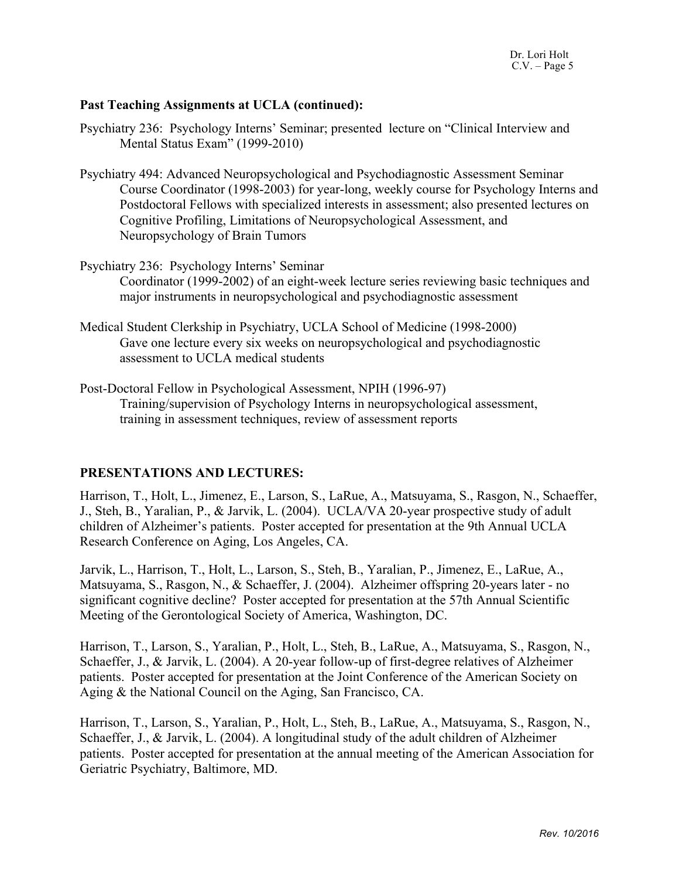#### **Past Teaching Assignments at UCLA (continued):**

- Psychiatry 236: Psychology Interns' Seminar; presented lecture on "Clinical Interview and Mental Status Exam" (1999-2010)
- Psychiatry 494: Advanced Neuropsychological and Psychodiagnostic Assessment Seminar Course Coordinator (1998-2003) for year-long, weekly course for Psychology Interns and Postdoctoral Fellows with specialized interests in assessment; also presented lectures on Cognitive Profiling, Limitations of Neuropsychological Assessment, and Neuropsychology of Brain Tumors
- Psychiatry 236: Psychology Interns' Seminar Coordinator (1999-2002) of an eight-week lecture series reviewing basic techniques and major instruments in neuropsychological and psychodiagnostic assessment
- Medical Student Clerkship in Psychiatry, UCLA School of Medicine (1998-2000) Gave one lecture every six weeks on neuropsychological and psychodiagnostic assessment to UCLA medical students
- Post-Doctoral Fellow in Psychological Assessment, NPIH (1996-97) Training/supervision of Psychology Interns in neuropsychological assessment, training in assessment techniques, review of assessment reports

#### **PRESENTATIONS AND LECTURES:**

Harrison, T., Holt, L., Jimenez, E., Larson, S., LaRue, A., Matsuyama, S., Rasgon, N., Schaeffer, J., Steh, B., Yaralian, P., & Jarvik, L. (2004). UCLA/VA 20-year prospective study of adult children of Alzheimer's patients. Poster accepted for presentation at the 9th Annual UCLA Research Conference on Aging, Los Angeles, CA.

Jarvik, L., Harrison, T., Holt, L., Larson, S., Steh, B., Yaralian, P., Jimenez, E., LaRue, A., Matsuyama, S., Rasgon, N., & Schaeffer, J. (2004). Alzheimer offspring 20-years later - no significant cognitive decline? Poster accepted for presentation at the 57th Annual Scientific Meeting of the Gerontological Society of America, Washington, DC.

Harrison, T., Larson, S., Yaralian, P., Holt, L., Steh, B., LaRue, A., Matsuyama, S., Rasgon, N., Schaeffer, J., & Jarvik, L. (2004). A 20-year follow-up of first-degree relatives of Alzheimer patients. Poster accepted for presentation at the Joint Conference of the American Society on Aging & the National Council on the Aging, San Francisco, CA.

Harrison, T., Larson, S., Yaralian, P., Holt, L., Steh, B., LaRue, A., Matsuyama, S., Rasgon, N., Schaeffer, J., & Jarvik, L. (2004). A longitudinal study of the adult children of Alzheimer patients. Poster accepted for presentation at the annual meeting of the American Association for Geriatric Psychiatry, Baltimore, MD.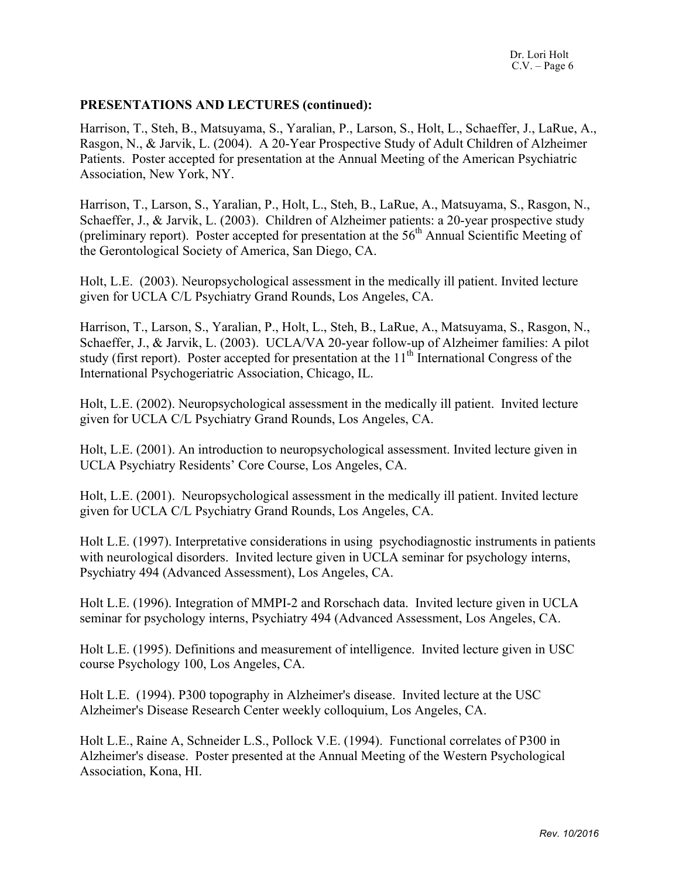#### **PRESENTATIONS AND LECTURES (continued):**

Harrison, T., Steh, B., Matsuyama, S., Yaralian, P., Larson, S., Holt, L., Schaeffer, J., LaRue, A., Rasgon, N., & Jarvik, L. (2004). A 20-Year Prospective Study of Adult Children of Alzheimer Patients. Poster accepted for presentation at the Annual Meeting of the American Psychiatric Association, New York, NY.

Harrison, T., Larson, S., Yaralian, P., Holt, L., Steh, B., LaRue, A., Matsuyama, S., Rasgon, N., Schaeffer, J., & Jarvik, L. (2003). Children of Alzheimer patients: a 20-year prospective study (preliminary report). Poster accepted for presentation at the  $56<sup>th</sup>$  Annual Scientific Meeting of the Gerontological Society of America, San Diego, CA.

Holt, L.E. (2003). Neuropsychological assessment in the medically ill patient. Invited lecture given for UCLA C/L Psychiatry Grand Rounds, Los Angeles, CA.

Harrison, T., Larson, S., Yaralian, P., Holt, L., Steh, B., LaRue, A., Matsuyama, S., Rasgon, N., Schaeffer, J., & Jarvik, L. (2003). UCLA/VA 20-year follow-up of Alzheimer families: A pilot study (first report). Poster accepted for presentation at the  $11<sup>th</sup>$  International Congress of the International Psychogeriatric Association, Chicago, IL.

Holt, L.E. (2002). Neuropsychological assessment in the medically ill patient. Invited lecture given for UCLA C/L Psychiatry Grand Rounds, Los Angeles, CA.

Holt, L.E. (2001). An introduction to neuropsychological assessment. Invited lecture given in UCLA Psychiatry Residents' Core Course, Los Angeles, CA.

Holt, L.E. (2001). Neuropsychological assessment in the medically ill patient. Invited lecture given for UCLA C/L Psychiatry Grand Rounds, Los Angeles, CA.

Holt L.E. (1997). Interpretative considerations in using psychodiagnostic instruments in patients with neurological disorders. Invited lecture given in UCLA seminar for psychology interns, Psychiatry 494 (Advanced Assessment), Los Angeles, CA.

Holt L.E. (1996). Integration of MMPI-2 and Rorschach data. Invited lecture given in UCLA seminar for psychology interns, Psychiatry 494 (Advanced Assessment, Los Angeles, CA.

Holt L.E. (1995). Definitions and measurement of intelligence. Invited lecture given in USC course Psychology 100, Los Angeles, CA.

Holt L.E. (1994). P300 topography in Alzheimer's disease. Invited lecture at the USC Alzheimer's Disease Research Center weekly colloquium, Los Angeles, CA.

Holt L.E., Raine A, Schneider L.S., Pollock V.E. (1994). Functional correlates of P300 in Alzheimer's disease. Poster presented at the Annual Meeting of the Western Psychological Association, Kona, HI.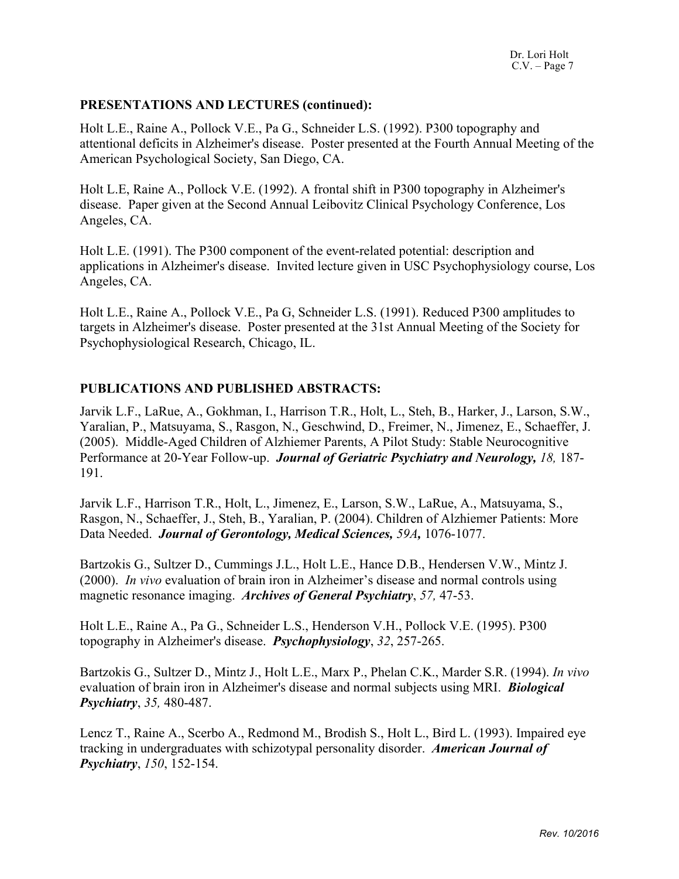#### **PRESENTATIONS AND LECTURES (continued):**

Holt L.E., Raine A., Pollock V.E., Pa G., Schneider L.S. (1992). P300 topography and attentional deficits in Alzheimer's disease. Poster presented at the Fourth Annual Meeting of the American Psychological Society, San Diego, CA.

Holt L.E, Raine A., Pollock V.E. (1992). A frontal shift in P300 topography in Alzheimer's disease. Paper given at the Second Annual Leibovitz Clinical Psychology Conference, Los Angeles, CA.

Holt L.E. (1991). The P300 component of the event-related potential: description and applications in Alzheimer's disease. Invited lecture given in USC Psychophysiology course, Los Angeles, CA.

Holt L.E., Raine A., Pollock V.E., Pa G, Schneider L.S. (1991). Reduced P300 amplitudes to targets in Alzheimer's disease. Poster presented at the 31st Annual Meeting of the Society for Psychophysiological Research, Chicago, IL.

#### **PUBLICATIONS AND PUBLISHED ABSTRACTS:**

Jarvik L.F., LaRue, A., Gokhman, I., Harrison T.R., Holt, L., Steh, B., Harker, J., Larson, S.W., Yaralian, P., Matsuyama, S., Rasgon, N., Geschwind, D., Freimer, N., Jimenez, E., Schaeffer, J. (2005). Middle-Aged Children of Alzhiemer Parents, A Pilot Study: Stable Neurocognitive Performance at 20-Year Follow-up. *Journal of Geriatric Psychiatry and Neurology, 18,* 187- 191.

Jarvik L.F., Harrison T.R., Holt, L., Jimenez, E., Larson, S.W., LaRue, A., Matsuyama, S., Rasgon, N., Schaeffer, J., Steh, B., Yaralian, P. (2004). Children of Alzhiemer Patients: More Data Needed. *Journal of Gerontology, Medical Sciences, 59A,* 1076-1077.

Bartzokis G., Sultzer D., Cummings J.L., Holt L.E., Hance D.B., Hendersen V.W., Mintz J. (2000). *In vivo* evaluation of brain iron in Alzheimer's disease and normal controls using magnetic resonance imaging. *Archives of General Psychiatry*, *57,* 47-53.

Holt L.E., Raine A., Pa G., Schneider L.S., Henderson V.H., Pollock V.E. (1995). P300 topography in Alzheimer's disease. *Psychophysiology*, *32*, 257-265.

Bartzokis G., Sultzer D., Mintz J., Holt L.E., Marx P., Phelan C.K., Marder S.R. (1994). *In vivo* evaluation of brain iron in Alzheimer's disease and normal subjects using MRI. *Biological Psychiatry*, *35,* 480-487.

Lencz T., Raine A., Scerbo A., Redmond M., Brodish S., Holt L., Bird L. (1993). Impaired eye tracking in undergraduates with schizotypal personality disorder. *American Journal of Psychiatry*, *150*, 152-154.